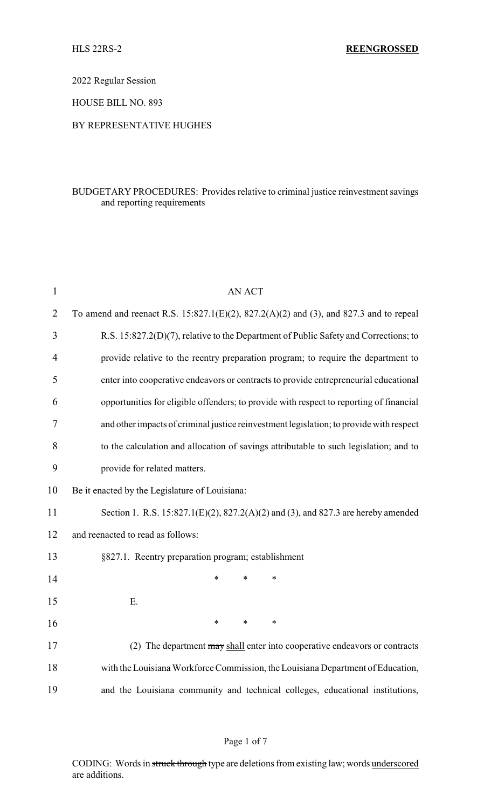2022 Regular Session

HOUSE BILL NO. 893

### BY REPRESENTATIVE HUGHES

# BUDGETARY PROCEDURES: Provides relative to criminal justice reinvestment savings and reporting requirements

| $\mathbf{1}$   | <b>AN ACT</b>                                                                               |  |  |  |  |
|----------------|---------------------------------------------------------------------------------------------|--|--|--|--|
| $\overline{2}$ | To amend and reenact R.S. $15:827.1(E)(2)$ , $827.2(A)(2)$ and (3), and 827.3 and to repeal |  |  |  |  |
| 3              | R.S. 15:827.2(D)(7), relative to the Department of Public Safety and Corrections; to        |  |  |  |  |
| 4              | provide relative to the reentry preparation program; to require the department to           |  |  |  |  |
| 5              | enter into cooperative endeavors or contracts to provide entrepreneurial educational        |  |  |  |  |
| 6              | opportunities for eligible offenders; to provide with respect to reporting of financial     |  |  |  |  |
| 7              | and other impacts of criminal justice reinvestment legislation; to provide with respect     |  |  |  |  |
| 8              | to the calculation and allocation of savings attributable to such legislation; and to       |  |  |  |  |
| 9              | provide for related matters.                                                                |  |  |  |  |
| 10             | Be it enacted by the Legislature of Louisiana:                                              |  |  |  |  |
| 11             | Section 1. R.S. 15:827.1(E)(2), 827.2(A)(2) and (3), and 827.3 are hereby amended           |  |  |  |  |
| 12             | and reenacted to read as follows:                                                           |  |  |  |  |
| 13             | §827.1. Reentry preparation program; establishment                                          |  |  |  |  |
| 14             | $\ast$<br>$\ast$<br>$\ast$                                                                  |  |  |  |  |
| 15             | Ε.                                                                                          |  |  |  |  |
| 16             | $\ast$<br>$\ast$<br>$\ast$                                                                  |  |  |  |  |
| 17             | (2) The department may shall enter into cooperative endeavors or contracts                  |  |  |  |  |
| 18             | with the Louisiana Workforce Commission, the Louisiana Department of Education,             |  |  |  |  |
| 19             | and the Louisiana community and technical colleges, educational institutions,               |  |  |  |  |

### Page 1 of 7

CODING: Words in struck through type are deletions from existing law; words underscored are additions.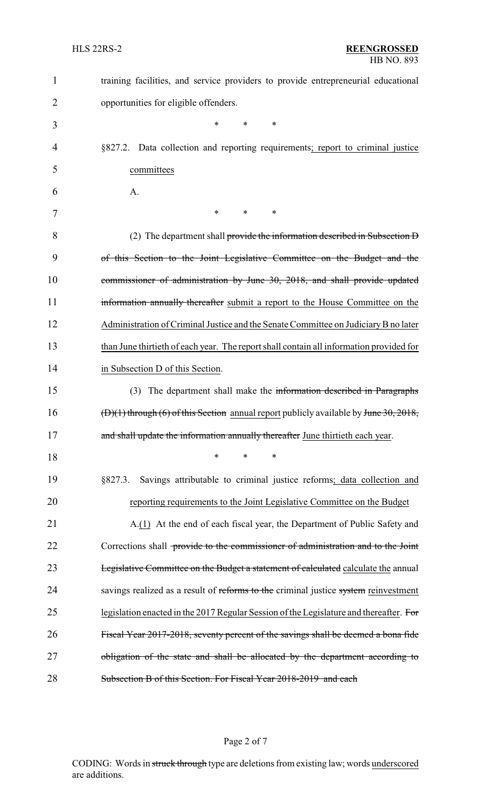| $\mathbf{1}$ | training facilities, and service providers to provide entrepreneurial educational            |
|--------------|----------------------------------------------------------------------------------------------|
| 2            | opportunities for eligible offenders.                                                        |
| 3            | *<br>$\ast$<br>∗                                                                             |
| 4            | §827.2. Data collection and reporting requirements; report to criminal justice               |
| 5            | committees                                                                                   |
| 6            | A.                                                                                           |
| 7            | *<br>$\ast$<br>∗                                                                             |
| 8            | (2) The department shall provide the information described in Subsection D                   |
| 9            | of this Section to the Joint Legislative Committee on the Budget and the                     |
| 10           | commissioner of administration by June 30, 2018, and shall provide updated                   |
| 11           | information annually thereafter submit a report to the House Committee on the                |
| 12           | Administration of Criminal Justice and the Senate Committee on Judiciary B no later          |
| 13           | than June thirtieth of each year. The report shall contain all information provided for      |
| 14           | in Subsection D of this Section.                                                             |
| 15           | (3) The department shall make the information described in Paragraphs                        |
| 16           | $(D)(1)$ through (6) of this Section annual report publicly available by June 30, 2018,      |
| 17           | and shall update the information annually thereafter June thirtieth each year.               |
| 18           | ∗<br>$\ast$<br>∗                                                                             |
| 19           | Savings attributable to criminal justice reforms; data collection and<br>§827.3.             |
| 20           | reporting requirements to the Joint Legislative Committee on the Budget                      |
| 21           | A.(1) At the end of each fiscal year, the Department of Public Safety and                    |
| 22           | Corrections shall <del>-provide to the commissioner of administration and to the Joint</del> |
| 23           | Legislative Committee on the Budget a statement of calculated calculate the annual           |
| 24           | savings realized as a result of reforms to the criminal justice system reinvestment          |
| 25           | legislation enacted in the 2017 Regular Session of the Legislature and thereafter. For       |
| 26           | Fiscal Year 2017-2018, seventy percent of the savings shall be deemed a bona fide            |
| 27           | obligation of the state and shall be allocated by the department according to                |
| 28           | Subsection B of this Section. For Fiscal Year 2018-2019 and each                             |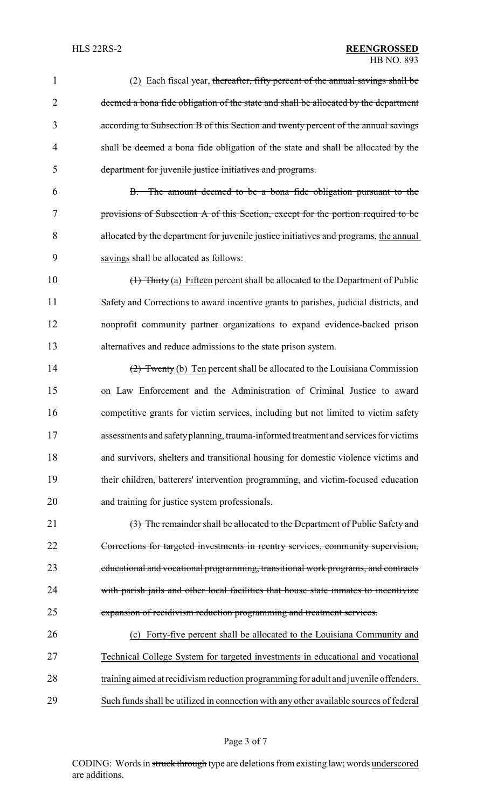| $\mathbf{1}$   | (2) Each fiscal year, thereafter, fifty percent of the annual savings shall be         |
|----------------|----------------------------------------------------------------------------------------|
| $\overline{2}$ | deemed a bona fide obligation of the state and shall be allocated by the department    |
| 3              | according to Subsection B of this Section and twenty percent of the annual savings     |
| 4              | shall be deemed a bona fide obligation of the state and shall be allocated by the      |
| 5              | department for juvenile justice initiatives and programs.                              |
| 6              | B. The amount deemed to be a bona fide obligation pursuant to the                      |
| 7              | provisions of Subsection A of this Section, except for the portion required to be      |
| 8              | allocated by the department for juvenile justice initiatives and programs, the annual  |
| 9              | savings shall be allocated as follows:                                                 |
| 10             | (1) Thirty (a) Fifteen percent shall be allocated to the Department of Public          |
| 11             | Safety and Corrections to award incentive grants to parishes, judicial districts, and  |
| 12             | nonprofit community partner organizations to expand evidence-backed prison             |
| 13             | alternatives and reduce admissions to the state prison system.                         |
| 14             | $\frac{2}{2}$ Twenty (b) Ten percent shall be allocated to the Louisiana Commission    |
| 15             | on Law Enforcement and the Administration of Criminal Justice to award                 |
| 16             | competitive grants for victim services, including but not limited to victim safety     |
| 17             | assessments and safety planning, trauma-informed treatment and services for victims    |
| 18             | and survivors, shelters and transitional housing for domestic violence victims and     |
| 19             | their children, batterers' intervention programming, and victim-focused education      |
| 20             | and training for justice system professionals.                                         |
| 21             | (3) The remainder shall be allocated to the Department of Public Safety and            |
| 22             | Corrections for targeted investments in reentry services, community supervision,       |
| 23             | educational and vocational programming, transitional work programs, and contracts      |
| 24             | with parish jails and other local facilities that house state inmates to incentivize   |
| 25             | expansion of recidivism reduction programming and treatment services.                  |
| 26             | (c) Forty-five percent shall be allocated to the Louisiana Community and               |
| 27             | Technical College System for targeted investments in educational and vocational        |
| 28             | training aimed at recidivism reduction programming for adult and juvenile offenders.   |
| 29             | Such funds shall be utilized in connection with any other available sources of federal |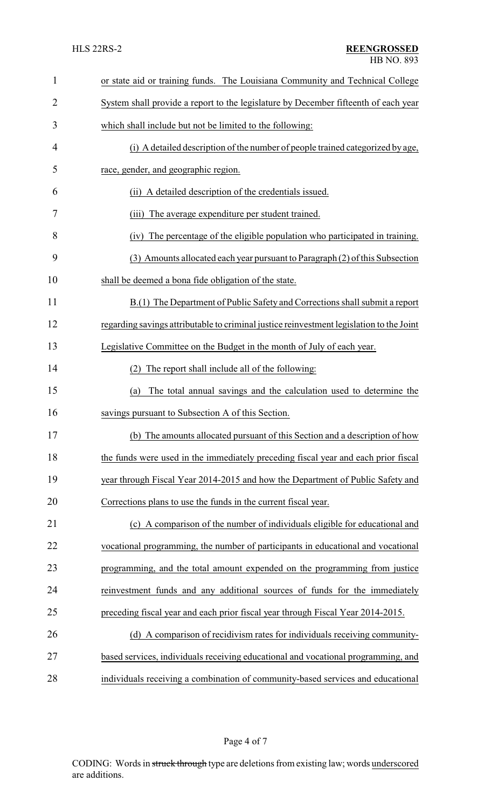| 1              | or state aid or training funds. The Louisiana Community and Technical College            |  |  |  |
|----------------|------------------------------------------------------------------------------------------|--|--|--|
| $\overline{2}$ | System shall provide a report to the legislature by December fifteenth of each year      |  |  |  |
| 3              | which shall include but not be limited to the following:                                 |  |  |  |
| 4              | (i) A detailed description of the number of people trained categorized by age,           |  |  |  |
| 5              | race, gender, and geographic region.                                                     |  |  |  |
| 6              | (ii) A detailed description of the credentials issued.                                   |  |  |  |
| 7              | (iii) The average expenditure per student trained.                                       |  |  |  |
| 8              | The percentage of the eligible population who participated in training.<br>(iv)          |  |  |  |
| 9              | (3) Amounts allocated each year pursuant to Paragraph (2) of this Subsection             |  |  |  |
| 10             | shall be deemed a bona fide obligation of the state.                                     |  |  |  |
| 11             | B.(1) The Department of Public Safety and Corrections shall submit a report              |  |  |  |
| 12             | regarding savings attributable to criminal justice reinvestment legislation to the Joint |  |  |  |
| 13             | Legislative Committee on the Budget in the month of July of each year.                   |  |  |  |
| 14             | The report shall include all of the following:<br>(2)                                    |  |  |  |
| 15             | The total annual savings and the calculation used to determine the<br>(a)                |  |  |  |
| 16             | savings pursuant to Subsection A of this Section.                                        |  |  |  |
| 17             | (b) The amounts allocated pursuant of this Section and a description of how              |  |  |  |
| 18             | the funds were used in the immediately preceding fiscal year and each prior fiscal       |  |  |  |
| 19             | year through Fiscal Year 2014-2015 and how the Department of Public Safety and           |  |  |  |
| 20             | Corrections plans to use the funds in the current fiscal year.                           |  |  |  |
| 21             | (c) A comparison of the number of individuals eligible for educational and               |  |  |  |
| 22             | vocational programming, the number of participants in educational and vocational         |  |  |  |
| 23             | programming, and the total amount expended on the programming from justice               |  |  |  |
| 24             | reinvestment funds and any additional sources of funds for the immediately               |  |  |  |
| 25             | preceding fiscal year and each prior fiscal year through Fiscal Year 2014-2015.          |  |  |  |
| 26             | (d) A comparison of recidivism rates for individuals receiving community-                |  |  |  |
| 27             | based services, individuals receiving educational and vocational programming, and        |  |  |  |
| 28             | individuals receiving a combination of community-based services and educational          |  |  |  |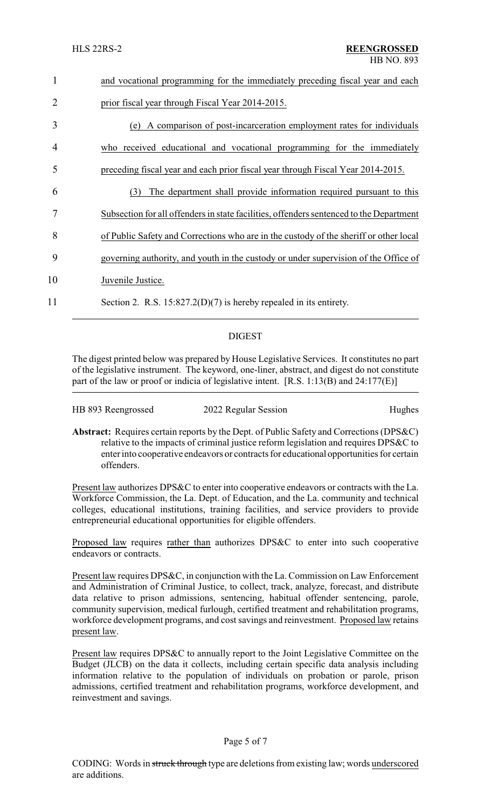| 1              | and vocational programming for the immediately preceding fiscal year and each           |  |  |
|----------------|-----------------------------------------------------------------------------------------|--|--|
| $\overline{2}$ | prior fiscal year through Fiscal Year 2014-2015.                                        |  |  |
| 3              | (e) A comparison of post-incarceration employment rates for individuals                 |  |  |
| 4              | who received educational and vocational programming for the immediately                 |  |  |
| 5              | preceding fiscal year and each prior fiscal year through Fiscal Year 2014-2015.         |  |  |
| 6              | The department shall provide information required pursuant to this<br>(3)               |  |  |
| 7              | Subsection for all offenders in state facilities, offenders sentenced to the Department |  |  |
| 8              | of Public Safety and Corrections who are in the custody of the sheriff or other local   |  |  |
| 9              | governing authority, and youth in the custody or under supervision of the Office of     |  |  |
| 10             | Juvenile Justice.                                                                       |  |  |
| 11             | Section 2. R.S. $15:827.2(D)(7)$ is hereby repealed in its entirety.                    |  |  |

### DIGEST

The digest printed below was prepared by House Legislative Services. It constitutes no part of the legislative instrument. The keyword, one-liner, abstract, and digest do not constitute part of the law or proof or indicia of legislative intent. [R.S. 1:13(B) and 24:177(E)]

| HB 893 Reengrossed | 2022 Regular Session | Hughes |
|--------------------|----------------------|--------|
|                    |                      |        |

**Abstract:** Requires certain reports by the Dept. of Public Safety and Corrections (DPS&C) relative to the impacts of criminal justice reform legislation and requires DPS&C to enter into cooperative endeavors or contracts for educational opportunities for certain offenders.

Present law authorizes DPS&C to enter into cooperative endeavors or contracts with the La. Workforce Commission, the La. Dept. of Education, and the La. community and technical colleges, educational institutions, training facilities, and service providers to provide entrepreneurial educational opportunities for eligible offenders.

Proposed law requires rather than authorizes DPS&C to enter into such cooperative endeavors or contracts.

Present law requires DPS&C, in conjunction with the La. Commission on Law Enforcement and Administration of Criminal Justice, to collect, track, analyze, forecast, and distribute data relative to prison admissions, sentencing, habitual offender sentencing, parole, community supervision, medical furlough, certified treatment and rehabilitation programs, workforce development programs, and cost savings and reinvestment. Proposed law retains present law.

Present law requires DPS&C to annually report to the Joint Legislative Committee on the Budget (JLCB) on the data it collects, including certain specific data analysis including information relative to the population of individuals on probation or parole, prison admissions, certified treatment and rehabilitation programs, workforce development, and reinvestment and savings.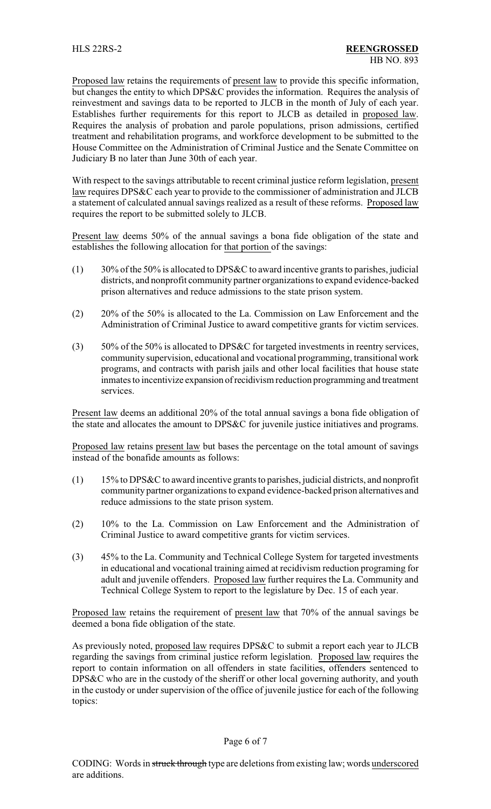Proposed law retains the requirements of present law to provide this specific information, but changes the entity to which DPS&C provides the information. Requires the analysis of reinvestment and savings data to be reported to JLCB in the month of July of each year. Establishes further requirements for this report to JLCB as detailed in proposed law. Requires the analysis of probation and parole populations, prison admissions, certified treatment and rehabilitation programs, and workforce development to be submitted to the House Committee on the Administration of Criminal Justice and the Senate Committee on Judiciary B no later than June 30th of each year.

With respect to the savings attributable to recent criminal justice reform legislation, present law requires DPS&C each year to provide to the commissioner of administration and JLCB a statement of calculated annual savings realized as a result of these reforms. Proposed law requires the report to be submitted solely to JLCB.

Present law deems 50% of the annual savings a bona fide obligation of the state and establishes the following allocation for that portion of the savings:

- $(1)$  30% of the 50% is allocated to DPS&C to award incentive grants to parishes, judicial districts, and nonprofit community partner organizations to expand evidence-backed prison alternatives and reduce admissions to the state prison system.
- (2) 20% of the 50% is allocated to the La. Commission on Law Enforcement and the Administration of Criminal Justice to award competitive grants for victim services.
- (3) 50% of the 50% is allocated to DPS&C for targeted investments in reentry services, community supervision, educational and vocational programming, transitional work programs, and contracts with parish jails and other local facilities that house state inmates to incentivize expansion ofrecidivism reduction programming and treatment services.

Present law deems an additional 20% of the total annual savings a bona fide obligation of the state and allocates the amount to DPS&C for juvenile justice initiatives and programs.

Proposed law retains present law but bases the percentage on the total amount of savings instead of the bonafide amounts as follows:

- (1) 15% to DPS&C to award incentive grants to parishes, judicial districts, and nonprofit community partner organizations to expand evidence-backed prison alternatives and reduce admissions to the state prison system.
- (2) 10% to the La. Commission on Law Enforcement and the Administration of Criminal Justice to award competitive grants for victim services.
- (3) 45% to the La. Community and Technical College System for targeted investments in educational and vocational training aimed at recidivism reduction programing for adult and juvenile offenders. Proposed law further requires the La. Community and Technical College System to report to the legislature by Dec. 15 of each year.

Proposed law retains the requirement of present law that 70% of the annual savings be deemed a bona fide obligation of the state.

As previously noted, proposed law requires DPS&C to submit a report each year to JLCB regarding the savings from criminal justice reform legislation. Proposed law requires the report to contain information on all offenders in state facilities, offenders sentenced to DPS&C who are in the custody of the sheriff or other local governing authority, and youth in the custody or under supervision of the office of juvenile justice for each of the following topics: